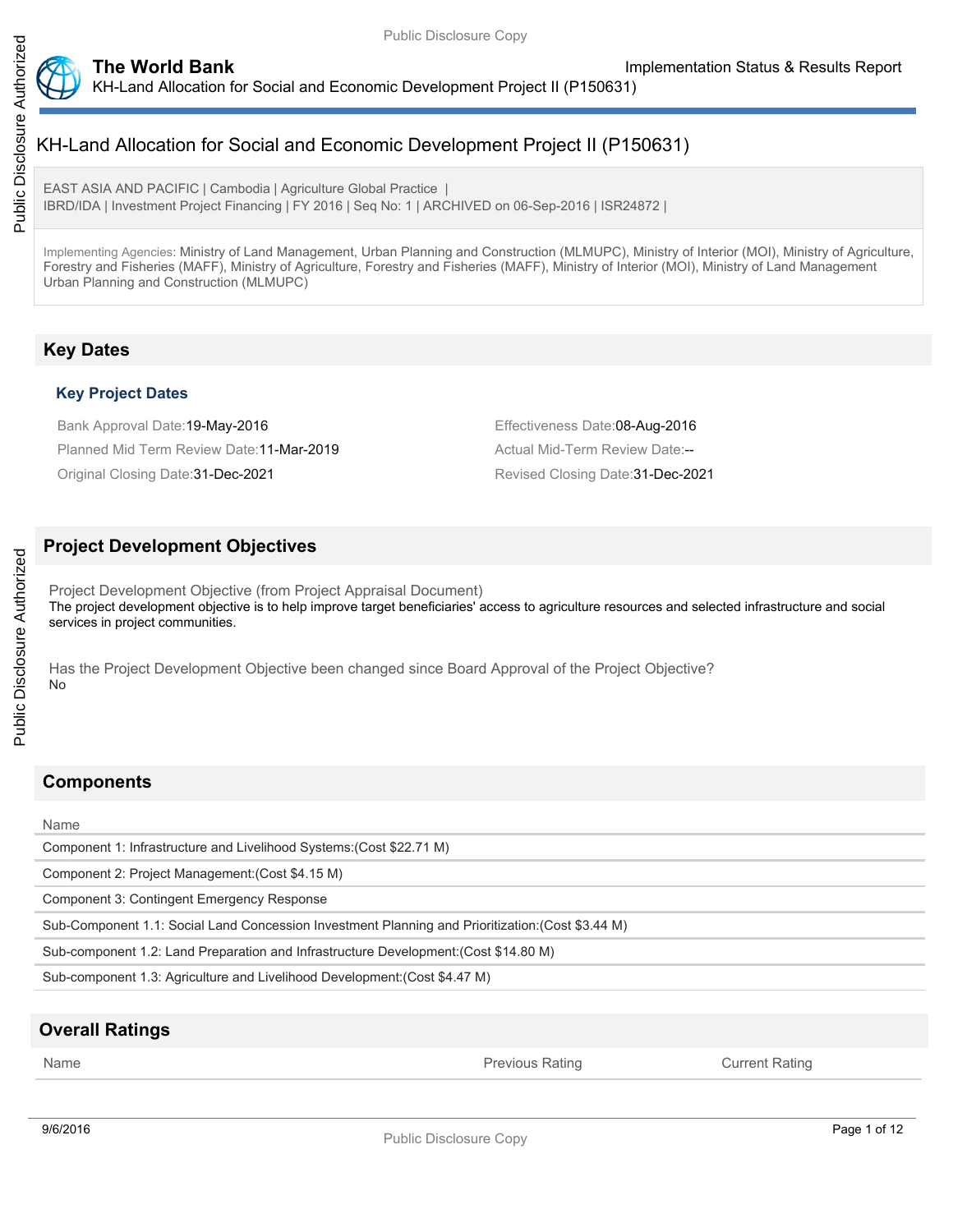

EAST ASIA AND PACIFIC | Cambodia | Agriculture Global Practice | IBRD/IDA | Investment Project Financing | FY 2016 | Seq No: 1 | ARCHIVED on 06-Sep-2016 | ISR24872 |

Implementing Agencies: Ministry of Land Management, Urban Planning and Construction (MLMUPC), Ministry of Interior (MOI), Ministry of Agriculture, Forestry and Fisheries (MAFF), Ministry of Agriculture, Forestry and Fisheries (MAFF), Ministry of Interior (MOI), Ministry of Land Management Urban Planning and Construction (MLMUPC)

# **Key Dates**

### **Key Project Dates**

Bank Approval Date:19-May-2016 **Effectiveness Date:08-Aug-2016** Effectiveness Date:08-Aug-2016 Planned Mid Term Review Date:11-Mar-2019 Marror Muslem Actual Mid-Term Review Date:--Original Closing Date:31-Dec-2021 Revised Closing Date:31-Dec-2021

# **Project Development Objectives**

Project Development Objective (from Project Appraisal Document) The project development objective is to help improve target beneficiaries' access to agriculture resources and selected infrastructure and social services in project communities.

Has the Project Development Objective been changed since Board Approval of the Project Objective? No

## **Components**

#### Name

Component 1: Infrastructure and Livelihood Systems:(Cost \$22.71 M)

Component 2: Project Management:(Cost \$4.15 M)

Component 3: Contingent Emergency Response

Sub-Component 1.1: Social Land Concession Investment Planning and Prioritization:(Cost \$3.44 M)

Sub-component 1.2: Land Preparation and Infrastructure Development:(Cost \$14.80 M)

Sub-component 1.3: Agriculture and Livelihood Development:(Cost \$4.47 M)

## **Overall Ratings**

Name **Name Previous Rating Current Rating Current Rating** Current Rating **Current Rating**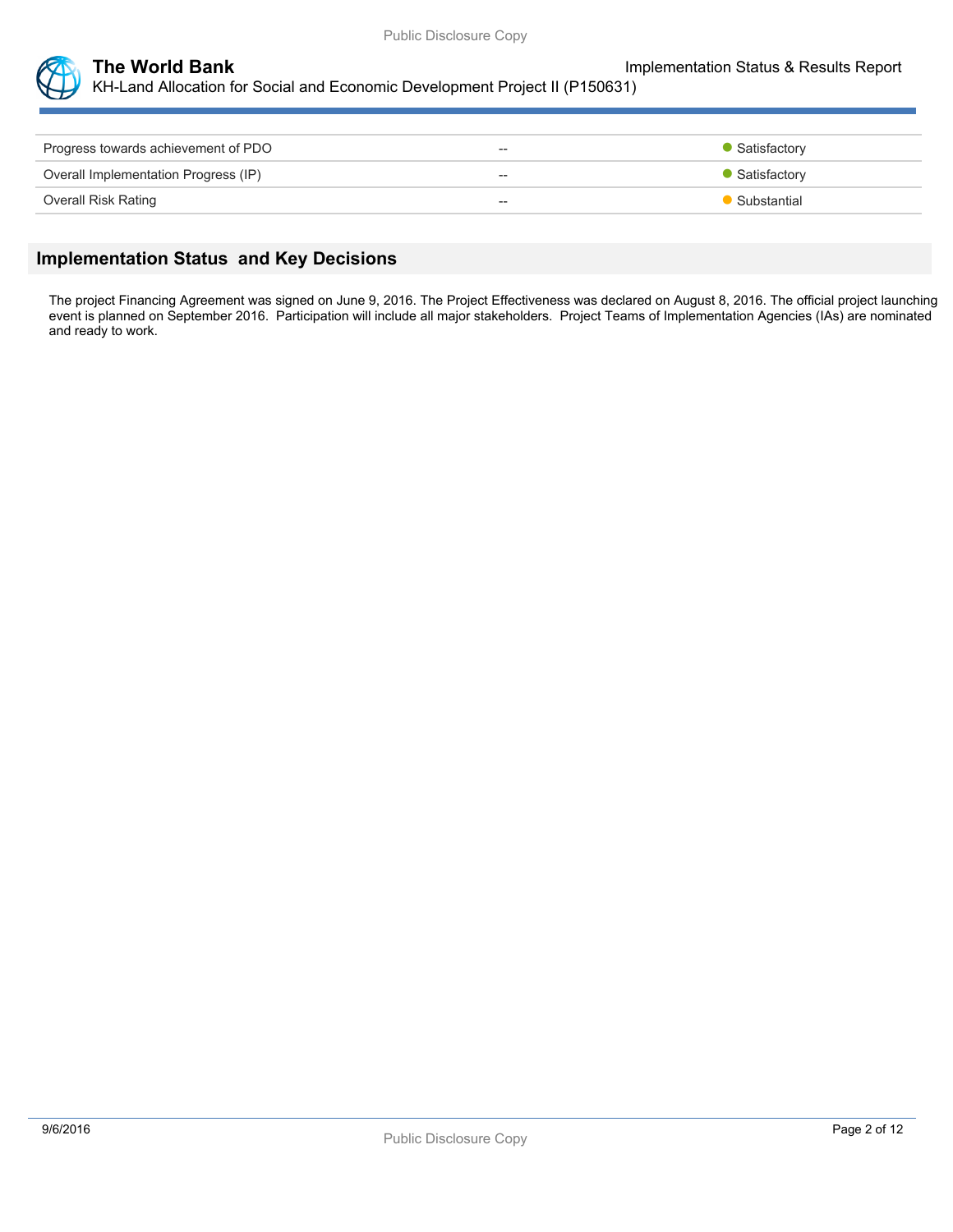

| Progress towards achievement of PDO  | $- -$ | • Satisfactory |
|--------------------------------------|-------|----------------|
| Overall Implementation Progress (IP) | --    | • Satisfactory |
| Overall Risk Rating                  | --    | • Substantial  |

#### **Implementation Status and Key Decisions**

The project Financing Agreement was signed on June 9, 2016. The Project Effectiveness was declared on August 8, 2016. The official project launching event is planned on September 2016. Participation will include all major stakeholders. Project Teams of Implementation Agencies (IAs) are nominated and ready to work.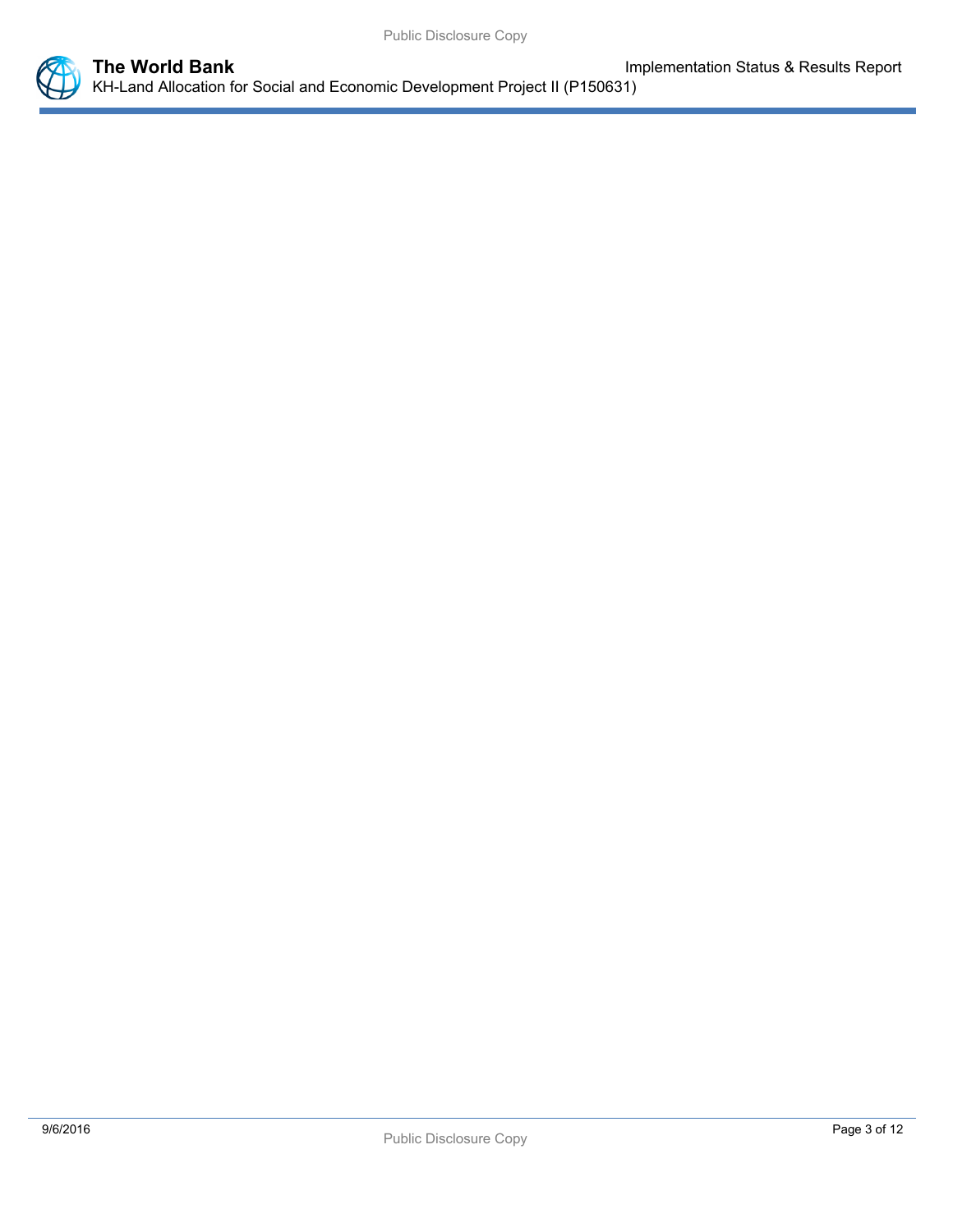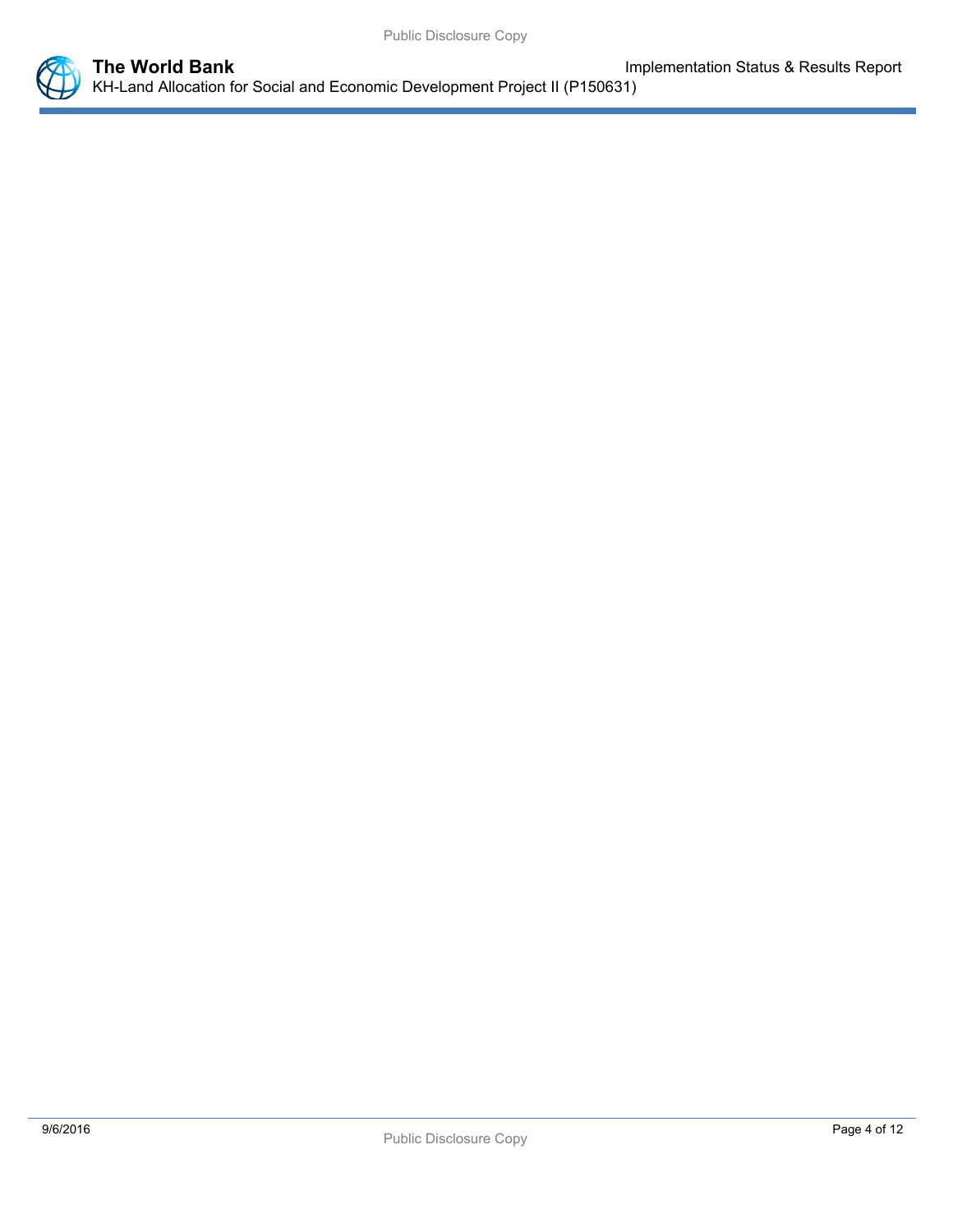**The World Bank Implementation Status & Results Report** KH-Land Allocation for Social and Economic Development Project II (P150631)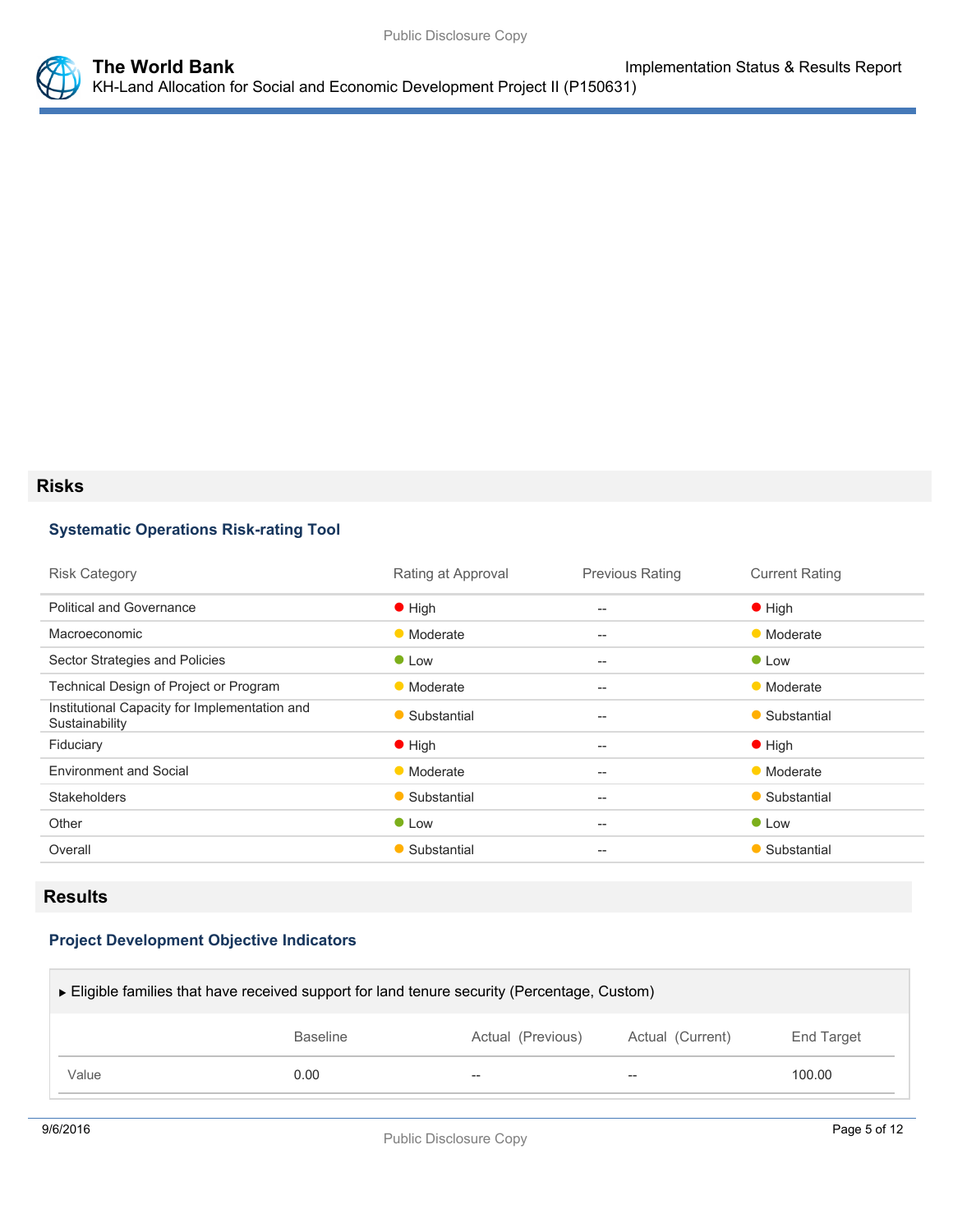#### **Risks**

# **Systematic Operations Risk-rating Tool**

| <b>Risk Category</b>                                            | Rating at Approval | <b>Previous Rating</b>                              | <b>Current Rating</b> |
|-----------------------------------------------------------------|--------------------|-----------------------------------------------------|-----------------------|
| <b>Political and Governance</b>                                 | $\bullet$ High     | $\overline{\phantom{m}}$                            | $\bullet$ High        |
| Macroeconomic                                                   | • Moderate         | $\qquad \qquad -$                                   | • Moderate            |
| Sector Strategies and Policies                                  | $\bullet$ Low      | $\hspace{0.05cm} -\hspace{0.05cm} -\hspace{0.05cm}$ | $\bullet$ Low         |
| Technical Design of Project or Program                          | • Moderate         | $\hspace{0.05cm} -\hspace{0.05cm} -\hspace{0.05cm}$ | • Moderate            |
| Institutional Capacity for Implementation and<br>Sustainability | • Substantial      | $- -$                                               | • Substantial         |
| Fiduciary                                                       | $\bullet$ High     | $- -$                                               | $\bullet$ High        |
| <b>Environment and Social</b>                                   | • Moderate         | $\hspace{0.05cm} -\hspace{0.05cm} -\hspace{0.05cm}$ | • Moderate            |
| <b>Stakeholders</b>                                             | • Substantial      | $\hspace{0.05cm} -\hspace{0.05cm} -\hspace{0.05cm}$ | • Substantial         |
| Other                                                           | • Low              | $\qquad \qquad -$                                   | $\bullet$ Low         |
| Overall                                                         | • Substantial      | $- -$                                               | • Substantial         |
|                                                                 |                    |                                                     |                       |

# **Results**

### **Project Development Objective Indicators**

| ► Eligible families that have received support for land tenure security (Percentage, Custom) |                 |                   |                  |            |  |
|----------------------------------------------------------------------------------------------|-----------------|-------------------|------------------|------------|--|
|                                                                                              | <b>Baseline</b> | Actual (Previous) | Actual (Current) | End Target |  |
| Value                                                                                        | 0.00            | --                | $-$              | 100.00     |  |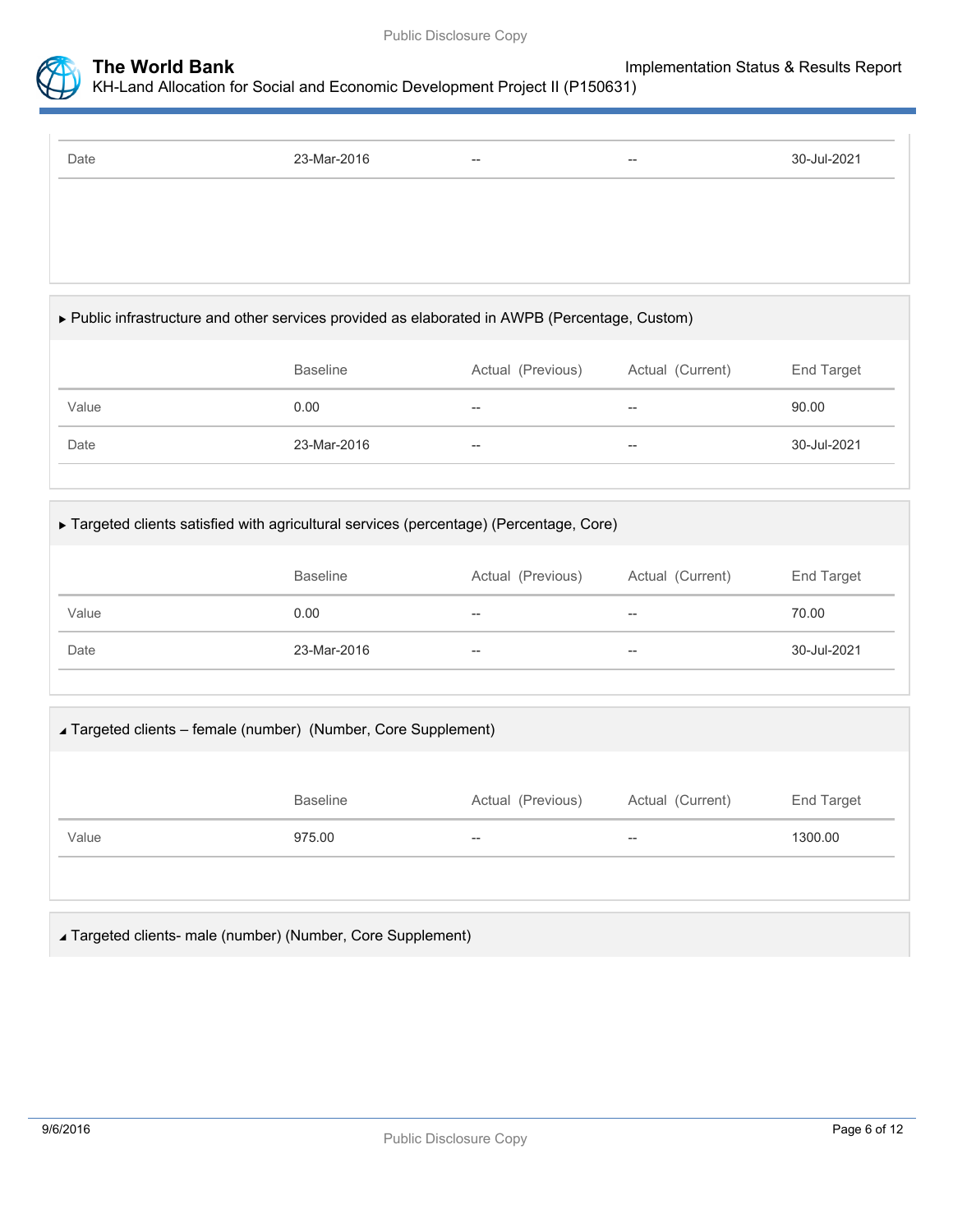



| Date | 23-Mar-2016 | $\hspace{0.05cm}$ | $- -$ | 30-Jul-2021 |
|------|-------------|-------------------|-------|-------------|
|      |             |                   |       |             |
|      |             |                   |       |             |
|      |             |                   |       |             |

#### Public infrastructure and other services provided as elaborated in AWPB (Percentage, Custom)

|       | Baseline    | Actual (Previous) | Actual (Current)         | End Target  |
|-------|-------------|-------------------|--------------------------|-------------|
| Value | 0.00        | $- -$             | $-\!$                    | 90.00       |
| Date  | 23-Mar-2016 | $- -$             | $\overline{\phantom{m}}$ | 30-Jul-2021 |

#### Targeted clients satisfied with agricultural services (percentage) (Percentage, Core)

|       | <b>Baseline</b> | Actual (Previous) | Actual (Current)  | End Target  |
|-------|-----------------|-------------------|-------------------|-------------|
| Value | 0.00            | $-$               | $-$               | 70.00       |
| Date  | 23-Mar-2016     | $-\!$             | $\hspace{0.05cm}$ | 30-Jul-2021 |

#### Targeted clients – female (number) (Number, Core Supplement)

|       | <b>Baseline</b> | Actual (Previous)                     | Actual (Current)  | End Target |
|-------|-----------------|---------------------------------------|-------------------|------------|
| Value | 975.00          | $\hspace{0.05cm}$ – $\hspace{0.05cm}$ | $\hspace{0.05cm}$ | 1300.00    |
|       |                 |                                       |                   |            |

#### Targeted clients- male (number) (Number, Core Supplement)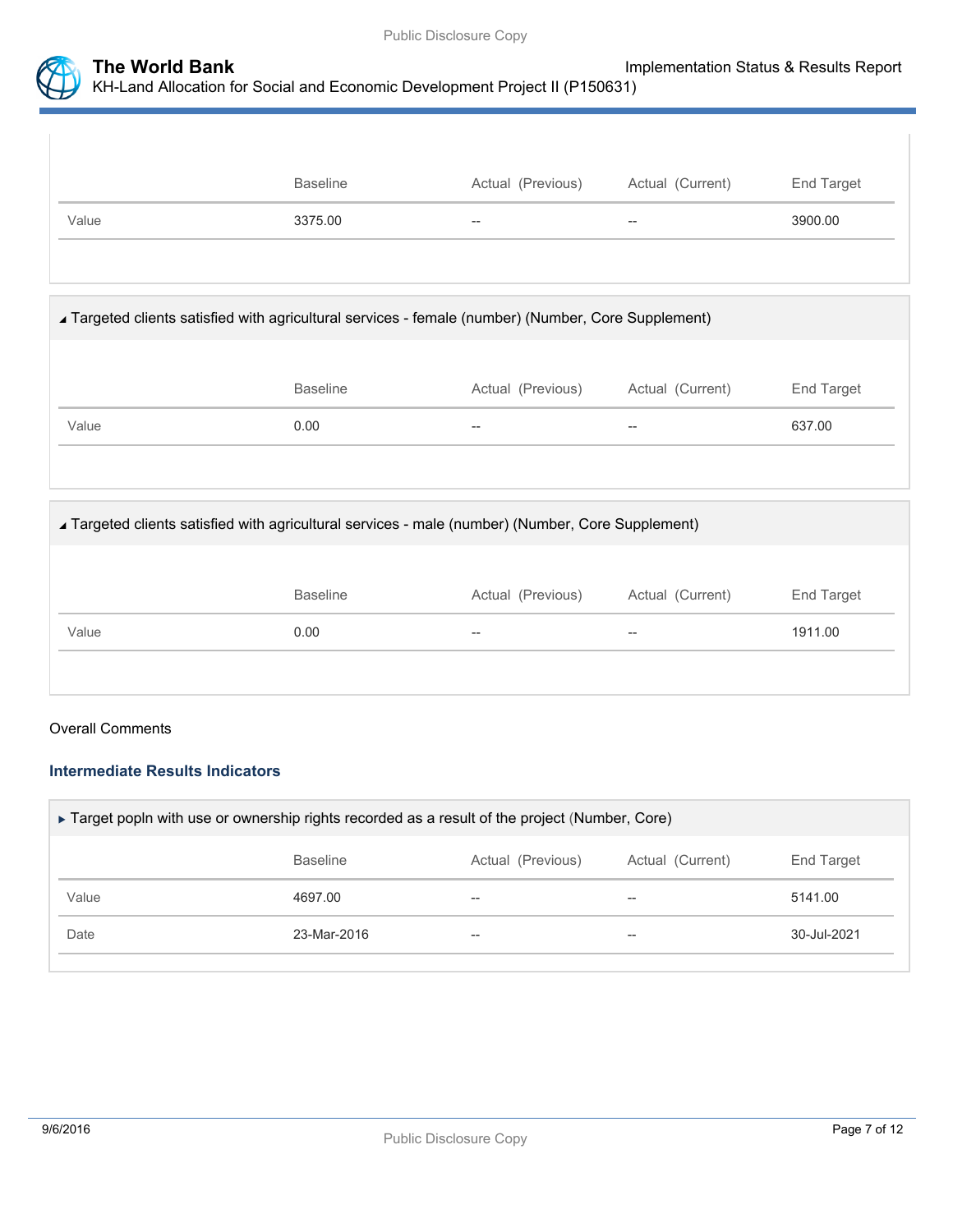

|       | <b>Baseline</b> | Actual (Previous) | Actual (Current)                                    | End Target |
|-------|-----------------|-------------------|-----------------------------------------------------|------------|
| Value | 3375.00         | $- -$             | $\hspace{0.05cm} -\hspace{0.05cm} -\hspace{0.05cm}$ | 3900.00    |
|       |                 |                   |                                                     |            |

| Targeted clients satisfied with agricultural services - female (number) (Number, Core Supplement) |                 |                   |                  |            |
|---------------------------------------------------------------------------------------------------|-----------------|-------------------|------------------|------------|
|                                                                                                   | <b>Baseline</b> | Actual (Previous) | Actual (Current) | End Target |
| Value                                                                                             | 0.00            | $- -$             | --               | 637.00     |
|                                                                                                   |                 |                   |                  |            |

| Targeted clients satisfied with agricultural services - male (number) (Number, Core Supplement) |                 |                   |                  |            |  |
|-------------------------------------------------------------------------------------------------|-----------------|-------------------|------------------|------------|--|
|                                                                                                 |                 |                   |                  |            |  |
|                                                                                                 | <b>Baseline</b> | Actual (Previous) | Actual (Current) | End Target |  |
| Value                                                                                           | 0.00            | --                | --               | 1911.00    |  |
|                                                                                                 |                 |                   |                  |            |  |
|                                                                                                 |                 |                   |                  |            |  |

#### Overall Comments

### **Intermediate Results Indicators**

| ► Target popIn with use or ownership rights recorded as a result of the project (Number, Core) |                 |                   |                  |             |  |  |
|------------------------------------------------------------------------------------------------|-----------------|-------------------|------------------|-------------|--|--|
|                                                                                                | <b>Baseline</b> | Actual (Previous) | Actual (Current) | End Target  |  |  |
| Value                                                                                          | 4697.00         | $-$               | --               | 5141.00     |  |  |
| Date                                                                                           | 23-Mar-2016     | $-$               | --               | 30-Jul-2021 |  |  |
|                                                                                                |                 |                   |                  |             |  |  |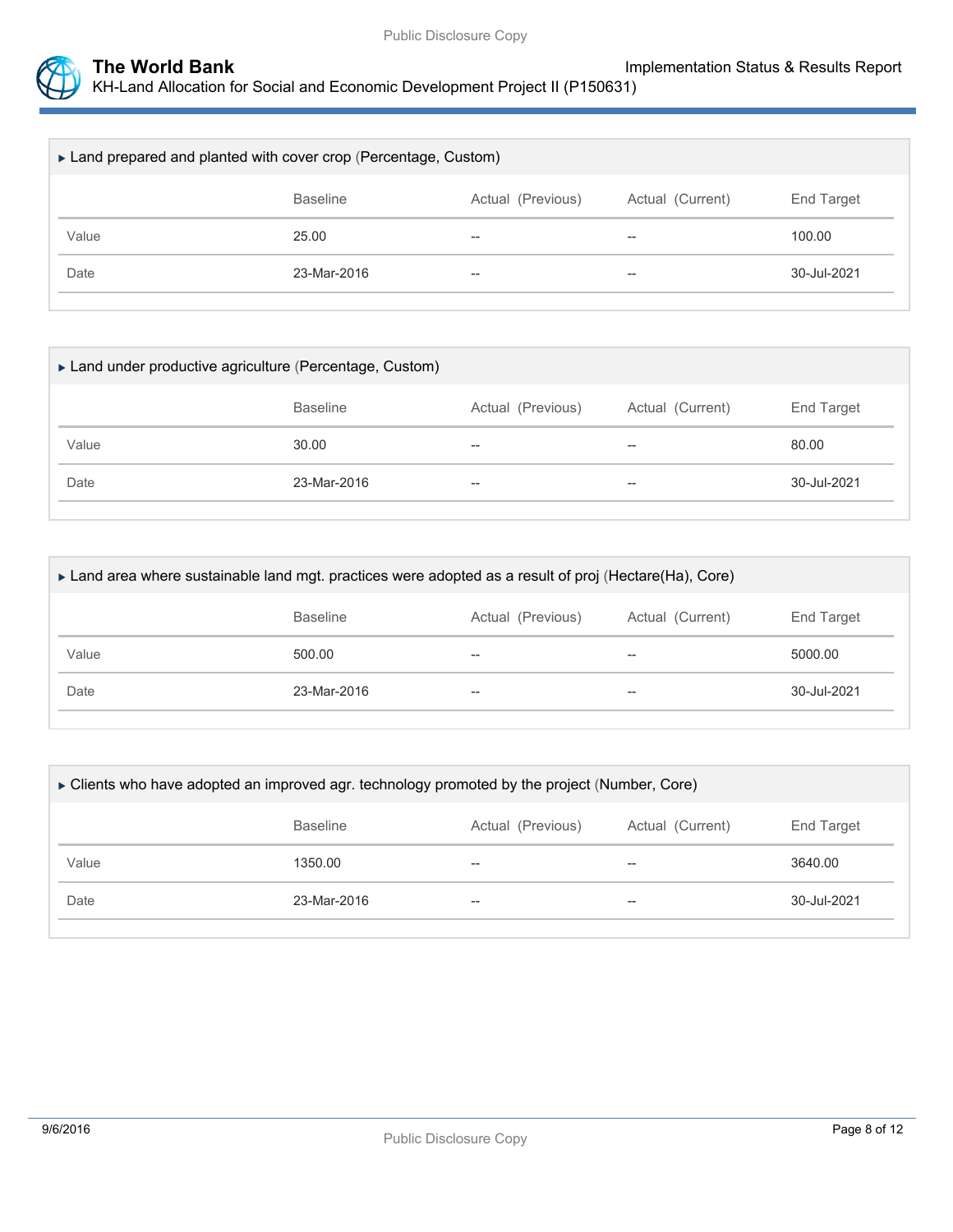

| ► Land prepared and planted with cover crop (Percentage, Custom) |                 |                          |                   |             |  |
|------------------------------------------------------------------|-----------------|--------------------------|-------------------|-------------|--|
|                                                                  | <b>Baseline</b> | Actual (Previous)        | Actual (Current)  | End Target  |  |
| Value                                                            | 25.00           | $\overline{\phantom{m}}$ | $\hspace{0.05cm}$ | 100.00      |  |
| Date                                                             | 23-Mar-2016     | $\hspace{0.05cm}$        | $- -$             | 30-Jul-2021 |  |
|                                                                  |                 |                          |                   |             |  |

| ► Land under productive agriculture (Percentage, Custom) |                 |                   |                  |             |
|----------------------------------------------------------|-----------------|-------------------|------------------|-------------|
|                                                          | <b>Baseline</b> | Actual (Previous) | Actual (Current) | End Target  |
| Value                                                    | 30.00           | --                | $-$              | 80.00       |
| Date                                                     | 23-Mar-2016     | $- -$             | $- -$            | 30-Jul-2021 |

| ► Land area where sustainable land mgt. practices were adopted as a result of proj (Hectare(Ha), Core) |                 |                   |                  |             |
|--------------------------------------------------------------------------------------------------------|-----------------|-------------------|------------------|-------------|
|                                                                                                        | <b>Baseline</b> | Actual (Previous) | Actual (Current) | End Target  |
| Value                                                                                                  | 500.00          | --                | --               | 5000.00     |
| Date                                                                                                   | 23-Mar-2016     | $-$               | --               | 30-Jul-2021 |
|                                                                                                        |                 |                   |                  |             |

| ► Clients who have adopted an improved agr. technology promoted by the project (Number, Core) |                 |                   |                  |             |
|-----------------------------------------------------------------------------------------------|-----------------|-------------------|------------------|-------------|
|                                                                                               | <b>Baseline</b> | Actual (Previous) | Actual (Current) | End Target  |
| Value                                                                                         | 1350.00         | --                | $- -$            | 3640.00     |
| Date                                                                                          | 23-Mar-2016     | --                | $- -$            | 30-Jul-2021 |
|                                                                                               |                 |                   |                  |             |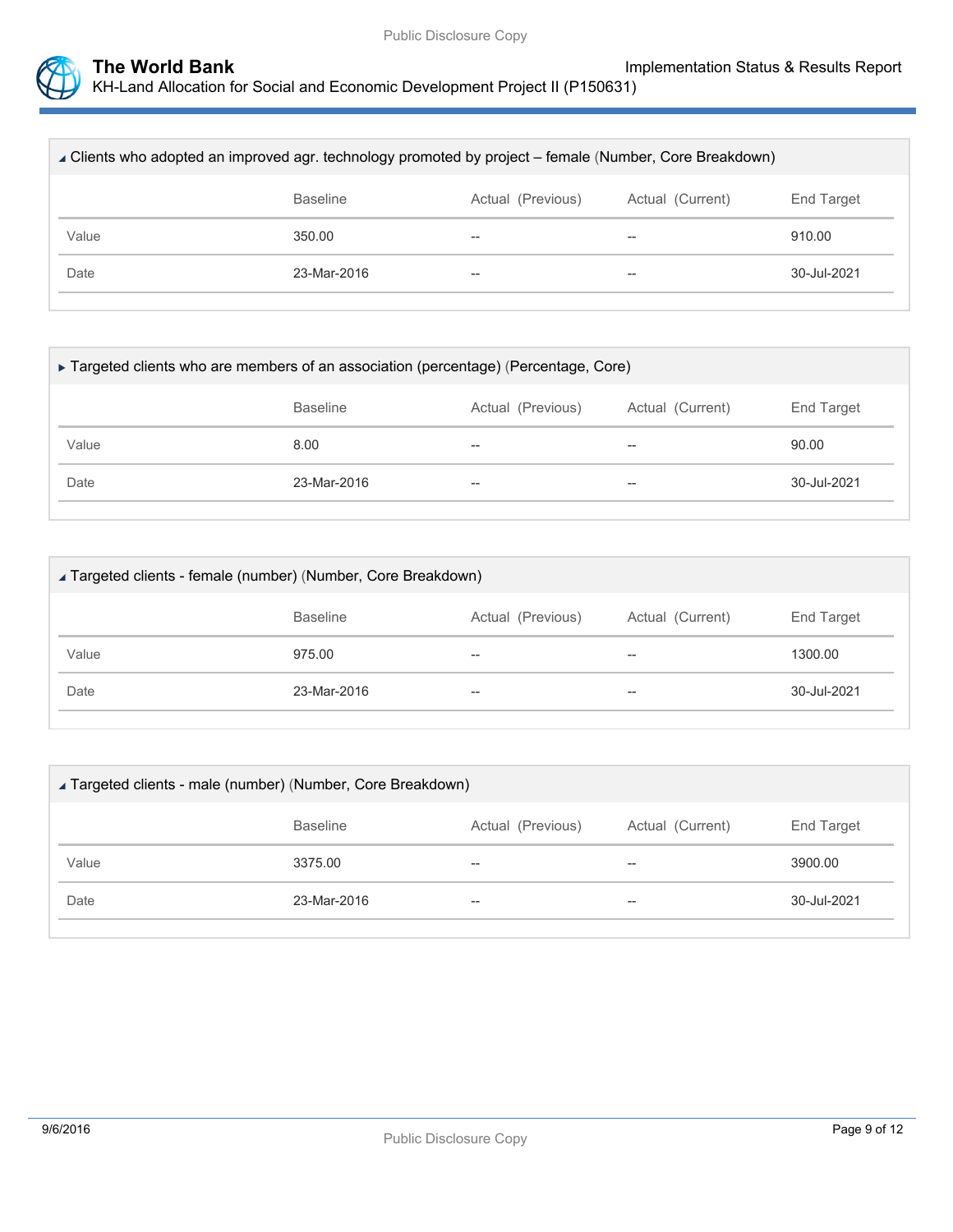

| Clients who adopted an improved agr. technology promoted by project – female (Number, Core Breakdown) |                 |                          |                          |             |
|-------------------------------------------------------------------------------------------------------|-----------------|--------------------------|--------------------------|-------------|
|                                                                                                       | <b>Baseline</b> | Actual (Previous)        | Actual (Current)         | End Target  |
| Value                                                                                                 | 350.00          | $- -$                    | $\overline{\phantom{m}}$ | 910.00      |
| Date                                                                                                  | 23-Mar-2016     | $\overline{\phantom{m}}$ | --                       | 30-Jul-2021 |
|                                                                                                       |                 |                          |                          |             |

| ► Targeted clients who are members of an association (percentage) (Percentage, Core) |                          |                  |             |  |
|--------------------------------------------------------------------------------------|--------------------------|------------------|-------------|--|
| <b>Baseline</b>                                                                      | Actual (Previous)        | Actual (Current) | End Target  |  |
| 8.00                                                                                 | $- -$                    | $- -$            | 90.00       |  |
| 23-Mar-2016                                                                          | $\overline{\phantom{m}}$ | $- -$            | 30-Jul-2021 |  |
|                                                                                      |                          |                  |             |  |

| <b>∡ Targeted clients - female (number) (Number, Core Breakdown)</b> |                 |                   |                  |             |
|----------------------------------------------------------------------|-----------------|-------------------|------------------|-------------|
|                                                                      | <b>Baseline</b> | Actual (Previous) | Actual (Current) | End Target  |
| Value                                                                | 975.00          | $- -$             | $-$              | 1300.00     |
| Date                                                                 | 23-Mar-2016     | $\hspace{0.05cm}$ | $-$              | 30-Jul-2021 |
|                                                                      |                 |                   |                  |             |

| ∡ Targeted clients - male (number) (Number, Core Breakdown) |                 |                   |                          |                   |
|-------------------------------------------------------------|-----------------|-------------------|--------------------------|-------------------|
|                                                             | <b>Baseline</b> | Actual (Previous) | Actual (Current)         | <b>End Target</b> |
| Value                                                       | 3375.00         | $- -$             | $\overline{\phantom{m}}$ | 3900.00           |
| Date                                                        | 23-Mar-2016     | $- -$             | $- -$                    | 30-Jul-2021       |
|                                                             |                 |                   |                          |                   |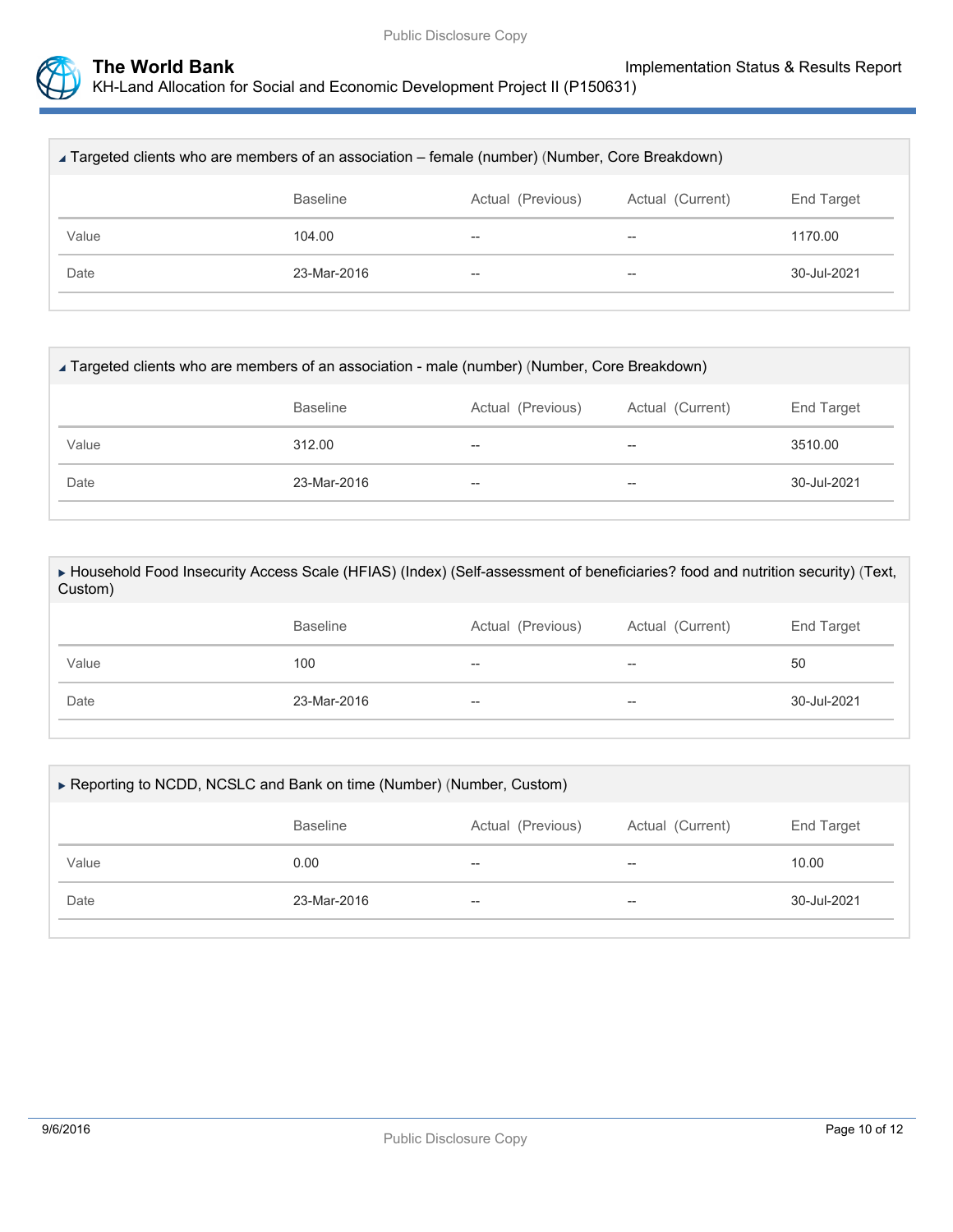

| Targeted clients who are members of an association – female (number) (Number, Core Breakdown) |                 |                          |                  |                 |
|-----------------------------------------------------------------------------------------------|-----------------|--------------------------|------------------|-----------------|
|                                                                                               | <b>Baseline</b> | Actual (Previous)        | Actual (Current) | End Target      |
| Value                                                                                         | 104.00          | $- -$                    | $- -$            | 1170.00         |
| Date                                                                                          | 23-Mar-2016     | $\overline{\phantom{m}}$ | $- -$            | $30 -$ Jul-2021 |
|                                                                                               |                 |                          |                  |                 |

| Targeted clients who are members of an association - male (number) (Number, Core Breakdown) |                 |                   |                  |             |
|---------------------------------------------------------------------------------------------|-----------------|-------------------|------------------|-------------|
|                                                                                             | <b>Baseline</b> | Actual (Previous) | Actual (Current) | End Target  |
| Value                                                                                       | 312.00          | --                | $-$              | 3510.00     |
| Date                                                                                        | 23-Mar-2016     | $- -$             | $- -$            | 30-Jul-2021 |
|                                                                                             |                 |                   |                  |             |

| ► Household Food Insecurity Access Scale (HFIAS) (Index) (Self-assessment of beneficiaries? food and nutrition security) (Text,<br>Custom) |                 |                   |                  |            |  |
|--------------------------------------------------------------------------------------------------------------------------------------------|-----------------|-------------------|------------------|------------|--|
|                                                                                                                                            | <b>Baseline</b> | Actual (Previous) | Actual (Current) | End Target |  |
| Value                                                                                                                                      | 100             | $- -$             | $- -$            | 50         |  |

Date 23-Mar-2016 -- -- 30-Jul-2021

| ► Reporting to NCDD, NCSLC and Bank on time (Number) (Number, Custom) |                 |                   |                  |                   |
|-----------------------------------------------------------------------|-----------------|-------------------|------------------|-------------------|
|                                                                       | <b>Baseline</b> | Actual (Previous) | Actual (Current) | <b>End Target</b> |
| Value                                                                 | 0.00            | --                | $- -$            | 10.00             |
| Date                                                                  | 23-Mar-2016     | --                | $- -$            | 30-Jul-2021       |
|                                                                       |                 |                   |                  |                   |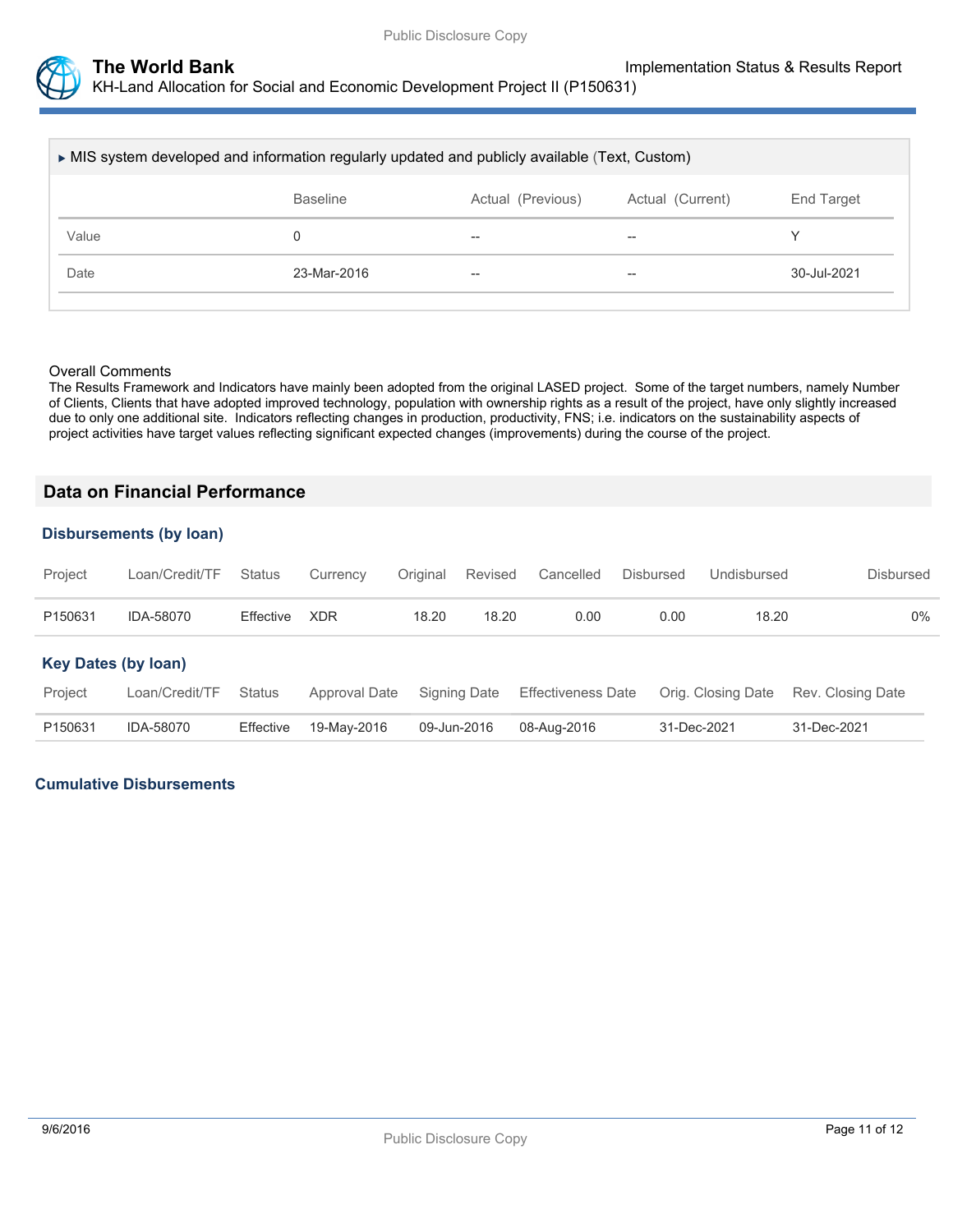

| ► MIS system developed and information regularly updated and publicly available (Text, Custom) |                 |                   |                  |             |
|------------------------------------------------------------------------------------------------|-----------------|-------------------|------------------|-------------|
|                                                                                                | <b>Baseline</b> | Actual (Previous) | Actual (Current) | End Target  |
| Value                                                                                          |                 | --                | $- -$            |             |
| Date                                                                                           | 23-Mar-2016     | --                | $-$              | 30-Jul-2021 |
|                                                                                                |                 |                   |                  |             |

#### Overall Comments

The Results Framework and Indicators have mainly been adopted from the original LASED project. Some of the target numbers, namely Number of Clients, Clients that have adopted improved technology, population with ownership rights as a result of the project, have only slightly increased due to only one additional site. Indicators reflecting changes in production, productivity, FNS; i.e. indicators on the sustainability aspects of project activities have target values reflecting significant expected changes (improvements) during the course of the project.

#### **Data on Financial Performance**

#### **Disbursements (by loan)**

| Project                    | Loan/Credit/TF | <b>Status</b> | Currency      | Original    | Revised      | Cancelled                 | <b>Disbursed</b> | Undisbursed        | <b>Disbursed</b>  |
|----------------------------|----------------|---------------|---------------|-------------|--------------|---------------------------|------------------|--------------------|-------------------|
| P150631                    | IDA-58070      | Effective     | <b>XDR</b>    | 18.20       | 18.20        | 0.00                      | 0.00             | 18.20              | 0%                |
| <b>Key Dates (by loan)</b> |                |               |               |             |              |                           |                  |                    |                   |
| Project                    | Loan/Credit/TF | <b>Status</b> | Approval Date |             | Signing Date | <b>Effectiveness Date</b> |                  | Orig. Closing Date | Rev. Closing Date |
| P150631                    | IDA-58070      | Effective     | 19-May-2016   | 09-Jun-2016 |              | 08-Aug-2016               |                  | 31-Dec-2021        | 31-Dec-2021       |

#### **Cumulative Disbursements**